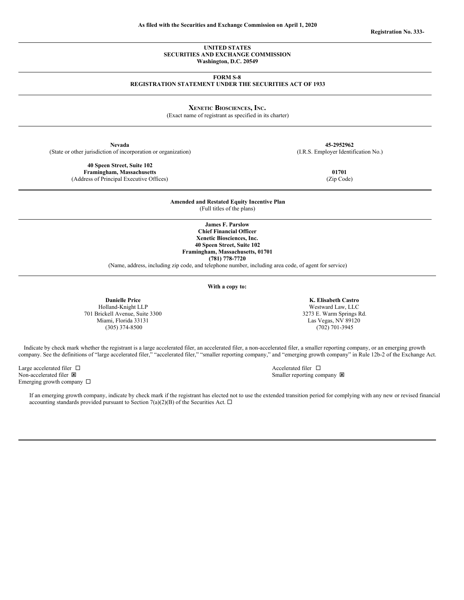**UNITED STATES SECURITIES AND EXCHANGE COMMISSION**

**Washington, D.C. 20549**

**FORM S-8**

**REGISTRATION STATEMENT UNDER THE SECURITIES ACT OF 1933**

**XENETIC BIOSCIENCES, INC.**

(Exact name of registrant as specified in its charter)

**Nevada 45-2952962** (State or other jurisdiction of incorporation or organization) (I.R.S. Employer Identification No.)

**Amended and Restated Equity Incentive Plan** (Full titles of the plans)

> **James F. Parslow Chief Financial Officer Xenetic Biosciences, Inc. 40 Speen Street, Suite 102 Framingham, Massachusetts, 01701 (781) 778-7720**

(Name, address, including zip code, and telephone number, including area code, of agent for service)

**With a copy to:**

**Danielle Price** Holland-Knight LLP 701 Brickell Avenue, Suite 3300 Miami, Florida 33131 (305) 374-8500

**K. Elisabeth Castro** Westward Law, LLC 3273 E. Warm Springs Rd. Las Vegas, NV 89120 (702) 701-3945

Indicate by check mark whether the registrant is a large accelerated filer, an accelerated filer, a non-accelerated filer, a smaller reporting company, or an emerging growth company. See the definitions of "large accelerated filer," "accelerated filer," "smaller reporting company," and "emerging growth company" in Rule 12b-2 of the Exchange Act.

Large accelerated filer  $\Box$  Accelerated filer  $\Box$ Non-accelerated filer  $\boxtimes$  Smaller reporting company  $\boxtimes$ Emerging growth company  $\,\Box\,$ 

If an emerging growth company, indicate by check mark if the registrant has elected not to use the extended transition period for complying with any new or revised financial accounting standards provided pursuant to Section 7(a)(2)(B) of the Securities Act.  $\Box$ 

**40 Speen Street, Suite 102 Framingham, Massachusetts 01701** (Address of Principal Executive Offices) (Zip Code)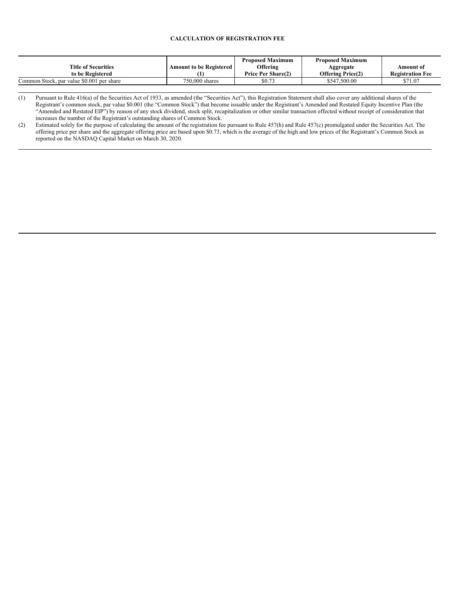# **CALCULATION OF REGISTRATION FEE**

|                                           |                                | <b>Proposed Maximum</b>   | <b>Proposed Maximum</b>  |                         |
|-------------------------------------------|--------------------------------|---------------------------|--------------------------|-------------------------|
| <b>Title of Securities</b>                | <b>Amount to be Registered</b> | Offering                  | Aggregate                | Amount of               |
| to be Registered                          |                                | <b>Price Per Share(2)</b> | <b>Offering Price(2)</b> | <b>Registration Fee</b> |
| Common Stock, par value \$0.001 per share | 750,000 shares                 | \$0.73                    | \$547,500.00             | \$71.07                 |

(1) Pursuant to Rule 416(a) of the Securities Act of 1933, as amended (the "Securities Act"), this Registration Statement shall also cover any additional shares of the Registrant's common stock, par value \$0.001 (the "Common Stock") that become issuable under the Registrant's Amended and Restated Equity Incentive Plan (the "Amended and Restated EIP") by reason of any stock dividend, stock split, recapitalization or other similar transaction effected without receipt of consideration that increases the number of the Registrant's outstanding shares of Common Stock.

(2) Estimated solely for the purpose of calculating the amount of the registration fee pursuant to Rule 457(h) and Rule 457(c) promulgated under the Securities Act. The offering price per share and the aggregate offering price are based upon \$0.73, which is the average of the high and low prices of the Registrant's Common Stock as reported on the NASDAQ Capital Market on March 30, 2020.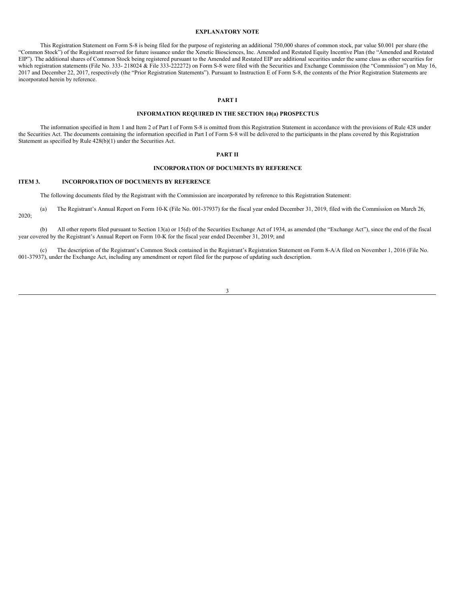#### **EXPLANATORY NOTE**

This Registration Statement on Form S-8 is being filed for the purpose of registering an additional 750,000 shares of common stock, par value \$0.001 per share (the "Common Stock") of the Registrant reserved for future issuance under the Xenetic Biosciences, Inc. Amended and Restated Equity Incentive Plan (the "Amended and Restated EIP"). The additional shares of Common Stock being registered pursuant to the Amended and Restated EIP are additional securities under the same class as other securities for which registration statements (File No. 333- 218024 & File 333-222272) on Form S-8 were filed with the Securities and Exchange Commission (the "Commission") on May 16, 2017 and December 22, 2017, respectively (the "Prior Registration Statements"). Pursuant to Instruction E of Form S-8, the contents of the Prior Registration Statements are incorporated herein by reference.

# **PART I**

#### **INFORMATION REQUIRED IN THE SECTION 10(a) PROSPECTUS**

The information specified in Item 1 and Item 2 of Part I of Form S-8 is omitted from this Registration Statement in accordance with the provisions of Rule 428 under the Securities Act. The documents containing the information specified in Part I of Form S-8 will be delivered to the participants in the plans covered by this Registration Statement as specified by Rule 428(b)(1) under the Securities Act.

# **PART II**

### **INCORPORATION OF DOCUMENTS BY REFERENCE**

#### **ITEM 3. INCORPORATION OF DOCUMENTS BY REFERENCE**

The following documents filed by the Registrant with the Commission are incorporated by reference to this Registration Statement:

(a) The Registrant's Annual Report on Form 10-K (File No. 001-37937) for the fiscal year ended December 31, 2019, filed with the Commission on March 26, 2020;

(b) All other reports filed pursuant to Section 13(a) or 15(d) of the Securities Exchange Act of 1934, as amended (the "Exchange Act"), since the end of the fiscal year covered by the Registrant's Annual Report on Form 10-K for the fiscal year ended December 31, 2019; and

(c) The description of the Registrant's Common Stock contained in the Registrant's Registration Statement on Form 8-A/A filed on November 1, 2016 (File No. 001-37937), under the Exchange Act, including any amendment or report filed for the purpose of updating such description.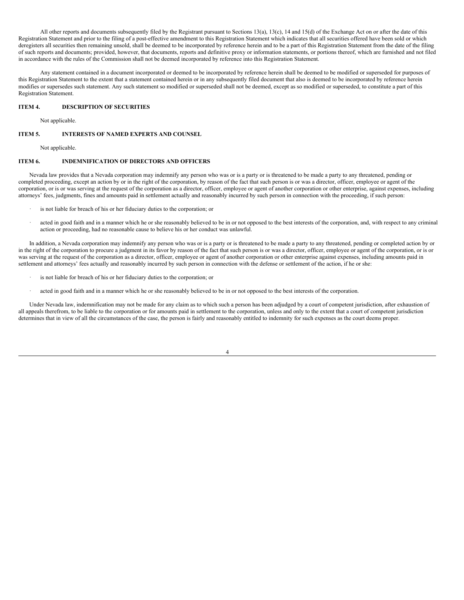All other reports and documents subsequently filed by the Registrant pursuant to Sections 13(a), 13(c), 14 and 15(d) of the Exchange Act on or after the date of this Registration Statement and prior to the filing of a post-effective amendment to this Registration Statement which indicates that all securities offered have been sold or which deregisters all securities then remaining unsold, shall be deemed to be incorporated by reference herein and to be a part of this Registration Statement from the date of the filing of such reports and documents; provided, however, that documents, reports and definitive proxy or information statements, or portions thereof, which are furnished and not filed in accordance with the rules of the Commission shall not be deemed incorporated by reference into this Registration Statement.

Any statement contained in a document incorporated or deemed to be incorporated by reference herein shall be deemed to be modified or superseded for purposes of this Registration Statement to the extent that a statement contained herein or in any subsequently filed document that also is deemed to be incorporated by reference herein modifies or supersedes such statement. Any such statement so modified or superseded shall not be deemed, except as so modified or superseded, to constitute a part of this Registration Statement.

## **ITEM 4. DESCRIPTION OF SECURITIES**

Not applicable.

#### **ITEM 5. INTERESTS OF NAMED EXPERTS AND COUNSEL**

Not applicable.

#### **ITEM 6. INDEMNIFICATION OF DIRECTORS AND OFFICERS**

Nevada law provides that a Nevada corporation may indemnify any person who was or is a party or is threatened to be made a party to any threatened, pending or completed proceeding, except an action by or in the right of the corporation, by reason of the fact that such person is or was a director, officer, employee or agent of the corporation, or is or was serving at the request of the corporation as a director, officer, employee or agent of another corporation or other enterprise, against expenses, including attorneys' fees, judgments, fines and amounts paid in settlement actually and reasonably incurred by such person in connection with the proceeding, if such person:

- is not liable for breach of his or her fiduciary duties to the corporation; or
- acted in good faith and in a manner which he or she reasonably believed to be in or not opposed to the best interests of the corporation, and, with respect to any criminal action or proceeding, had no reasonable cause to believe his or her conduct was unlawful.

In addition, a Nevada corporation may indemnify any person who was or is a party or is threatened to be made a party to any threatened, pending or completed action by or in the right of the corporation to procure a judgment in its favor by reason of the fact that such person is or was a director, officer, employee or agent of the corporation, or is or was serving at the request of the corporation as a director, officer, employee or agent of another corporation or other enterprise against expenses, including amounts paid in settlement and attorneys' fees actually and reasonably incurred by such person in connection with the defense or settlement of the action, if he or she:

- is not liable for breach of his or her fiduciary duties to the corporation; or
- acted in good faith and in a manner which he or she reasonably believed to be in or not opposed to the best interests of the corporation.

Under Nevada law, indemnification may not be made for any claim as to which such a person has been adjudged by a court of competent jurisdiction, after exhaustion of all appeals therefrom, to be liable to the corporation or for amounts paid in settlement to the corporation, unless and only to the extent that a court of competent jurisdiction determines that in view of all the circumstances of the case, the person is fairly and reasonably entitled to indemnity for such expenses as the court deems proper.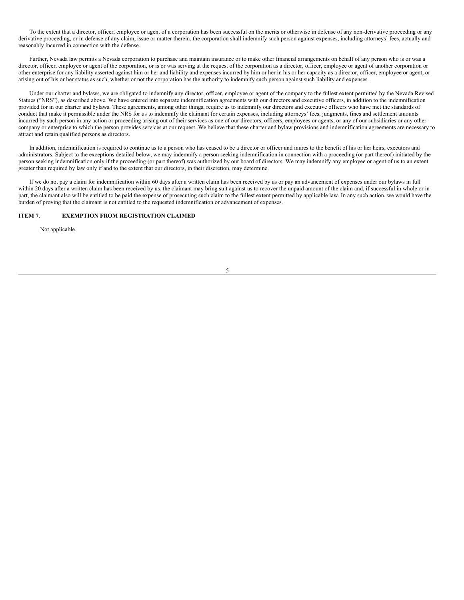To the extent that a director, officer, employee or agent of a corporation has been successful on the merits or otherwise in defense of any non-derivative proceeding or any derivative proceeding, or in defense of any claim, issue or matter therein, the corporation shall indemnify such person against expenses, including attorneys' fees, actually and reasonably incurred in connection with the defense.

Further, Nevada law permits a Nevada corporation to purchase and maintain insurance or to make other financial arrangements on behalf of any person who is or was a director, officer, employee or agent of the corporation, or is or was serving at the request of the corporation as a director, officer, employee or agent of another corporation or other enterprise for any liability asserted against him or her and liability and expenses incurred by him or her in his or her capacity as a director, officer, employee or agent, or arising out of his or her status as such, whether or not the corporation has the authority to indemnify such person against such liability and expenses.

Under our charter and bylaws, we are obligated to indemnify any director, officer, employee or agent of the company to the fullest extent permitted by the Nevada Revised Statues ("NRS"), as described above. We have entered into separate indemnification agreements with our directors and executive officers, in addition to the indemnification provided for in our charter and bylaws. These agreements, among other things, require us to indemnify our directors and executive officers who have met the standards of conduct that make it permissible under the NRS for us to indemnify the claimant for certain expenses, including attorneys' fees, judgments, fines and settlement amounts incurred by such person in any action or proceeding arising out of their services as one of our directors, officers, employees or agents, or any of our subsidiaries or any other company or enterprise to which the person provides services at our request. We believe that these charter and bylaw provisions and indemnification agreements are necessary to attract and retain qualified persons as directors.

In addition, indemnification is required to continue as to a person who has ceased to be a director or officer and inures to the benefit of his or her heirs, executors and administrators. Subject to the exceptions detailed below, we may indemnify a person seeking indemnification in connection with a proceeding (or part thereof) initiated by the person seeking indemnification only if the proceeding (or part thereof) was authorized by our board of directors. We may indemnify any employee or agent of us to an extent greater than required by law only if and to the extent that our directors, in their discretion, may determine.

If we do not pay a claim for indemnification within 60 days after a written claim has been received by us or pay an advancement of expenses under our bylaws in full within 20 days after a written claim has been received by us, the claimant may bring suit against us to recover the unpaid amount of the claim and, if successful in whole or in part, the claimant also will be entitled to be paid the expense of prosecuting such claim to the fullest extent permitted by applicable law. In any such action, we would have the burden of proving that the claimant is not entitled to the requested indemnification or advancement of expenses.

# **ITEM 7. EXEMPTION FROM REGISTRATION CLAIMED**

Not applicable.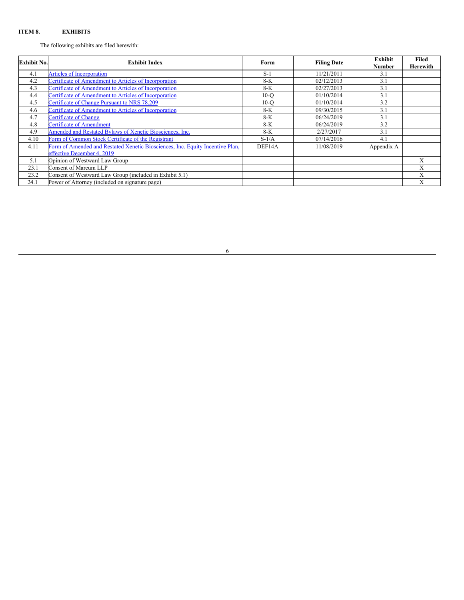## **ITEM 8. EXHIBITS**

The following exhibits are filed herewith:

| <b>Exhibit No.</b> | <b>Exhibit Index</b>                                                                                        | Form    | <b>Filing Date</b> | <b>Exhibit</b><br><b>Number</b> | Filed<br><b>Herewith</b> |
|--------------------|-------------------------------------------------------------------------------------------------------------|---------|--------------------|---------------------------------|--------------------------|
| 4.1                | <b>Articles of Incorporation</b>                                                                            | $S-1$   | 11/21/2011         | 3.1                             |                          |
| 4.2                | Certificate of Amendment to Articles of Incorporation                                                       | $8-K$   | 02/12/2013         | 3.1                             |                          |
| 4.3                | Certificate of Amendment to Articles of Incorporation                                                       | $8-K$   | 02/27/2013         | 3.1                             |                          |
| 4.4                | Certificate of Amendment to Articles of Incorporation                                                       | $10-o$  | 01/10/2014         | 3.1                             |                          |
| 4.5                | Certificate of Change Pursuant to NRS 78.209                                                                | $10-°$  | 01/10/2014         | 3.2                             |                          |
| 4.6                | Certificate of Amendment to Articles of Incorporation                                                       | $8-K$   | 09/30/2015         | 3.1                             |                          |
| 4.7                | <b>Certificate of Change</b>                                                                                | $8-K$   | 06/24/2019         | 3.1                             |                          |
| 4.8                | <b>Certificate of Amendment</b>                                                                             | $8-K$   | 06/24/2019         | 3.2                             |                          |
| 4.9                | Amended and Restated Bylaws of Xenetic Biosciences, Inc.                                                    | $8-K$   | 2/27/2017          | 3.1                             |                          |
| 4.10               | Form of Common Stock Certificate of the Registrant                                                          | $S-1/A$ | 07/14/2016         | 4.1                             |                          |
| 4.11               | Form of Amended and Restated Xenetic Biosciences, Inc. Equity Incentive Plan,<br>effective December 4, 2019 | DEF14A  | 11/08/2019         | Appendix A                      |                          |
| 5.1                | Opinion of Westward Law Group                                                                               |         |                    |                                 | X                        |
| 23.1               | Consent of Marcum LLP                                                                                       |         |                    |                                 | X                        |
| 23.2               | Consent of Westward Law Group (included in Exhibit 5.1)                                                     |         |                    |                                 | X                        |
| 24.1               | Power of Attorney (included on signature page)                                                              |         |                    |                                 | X                        |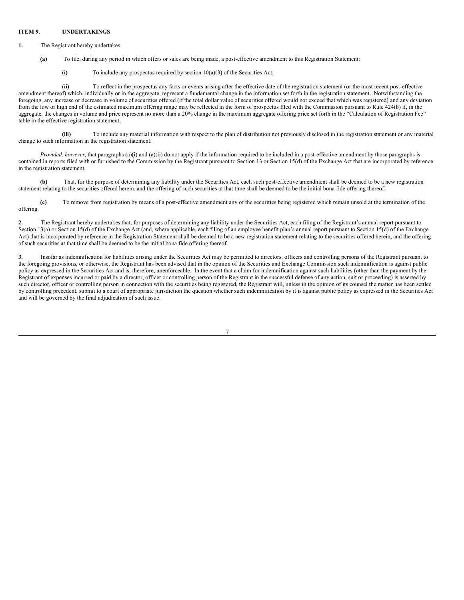#### **ITEM 9. UNDERTAKINGS**

- **1.** The Registrant hereby undertakes:
	- **(a)** To file, during any period in which offers or sales are being made, a post-effective amendment to this Registration Statement:
		- (i) To include any prospectus required by section  $10(a)(3)$  of the Securities Act;

**(ii)** To reflect in the prospectus any facts or events arising after the effective date of the registration statement (or the most recent post-effective amendment thereof) which, individually or in the aggregate, represent a fundamental change in the information set forth in the registration statement. Notwithstanding the foregoing, any increase or decrease in volume of securities offered (if the total dollar value of securities offered would not exceed that which was registered) and any deviation from the low or high end of the estimated maximum offering range may be reflected in the form of prospectus filed with the Commission pursuant to Rule 424(b) if, in the aggregate, the changes in volume and price represent no more than a 20% change in the maximum aggregate offering price set forth in the "Calculation of Registration Fee" table in the effective registration statement.

**(iii)** To include any material information with respect to the plan of distribution not previously disclosed in the registration statement or any material change to such information in the registration statement;

*Provided, however,* that paragraphs (a)(i) and (a)(ii) do not apply if the information required to be included in a post-effective amendment by those paragraphs is contained in reports filed with or furnished to the Commission by the Registrant pursuant to Section 13 or Section 15(d) of the Exchange Act that are incorporated by reference in the registration statement.

**(b)** That, for the purpose of determining any liability under the Securities Act, each such post-effective amendment shall be deemed to be a new registration statement relating to the securities offered herein, and the offering of such securities at that time shall be deemed to be the initial bona fide offering thereof.

**(c)** To remove from registration by means of a post-effective amendment any of the securities being registered which remain unsold at the termination of the offering.

**2.** The Registrant hereby undertakes that, for purposes of determining any liability under the Securities Act, each filing of the Registrant's annual report pursuant to Section 13(a) or Section 15(d) of the Exchange Act (and, where applicable, each filing of an employee benefit plan's annual report pursuant to Section 15(d) of the Exchange Act) that is incorporated by reference in the Registration Statement shall be deemed to be a new registration statement relating to the securities offered herein, and the offering of such securities at that time shall be deemed to be the initial bona fide offering thereof.

**3.** Insofar as indemnification for liabilities arising under the Securities Act may be permitted to directors, officers and controlling persons of the Registrant pursuant to the foregoing provisions, or otherwise, the Registrant has been advised that in the opinion of the Securities and Exchange Commission such indemnification is against public policy as expressed in the Securities Act and is, therefore, unenforceable. In the event that a claim for indemnification against such liabilities (other than the payment by the Registrant of expenses incurred or paid by a director, officer or controlling person of the Registrant in the successful defense of any action, suit or proceeding) is asserted by such director, officer or controlling person in connection with the securities being registered, the Registrant will, unless in the opinion of its counsel the matter has been settled by controlling precedent, submit to a court of appropriate jurisdiction the question whether such indemnification by it is against public policy as expressed in the Securities Act and will be governed by the final adjudication of such issue.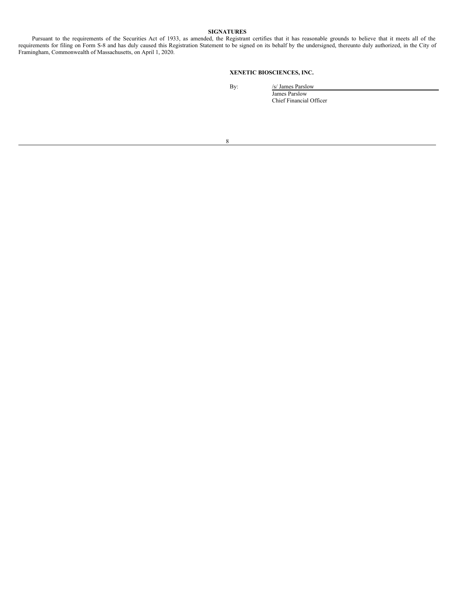## **SIGNATURES**

Pursuant to the requirements of the Securities Act of 1933, as amended, the Registrant certifies that it has reasonable grounds to believe that it meets all of the requirements for filing on Form S-8 and has duly caused this Registration Statement to be signed on its behalf by the undersigned, thereunto duly authorized, in the City of Framingham, Commonwealth of Massachusetts, on April 1, 2020.

# **XENETIC BIOSCIENCES, INC.**

By:  $/s/$  James Parslow James Parslow

Chief Financial Officer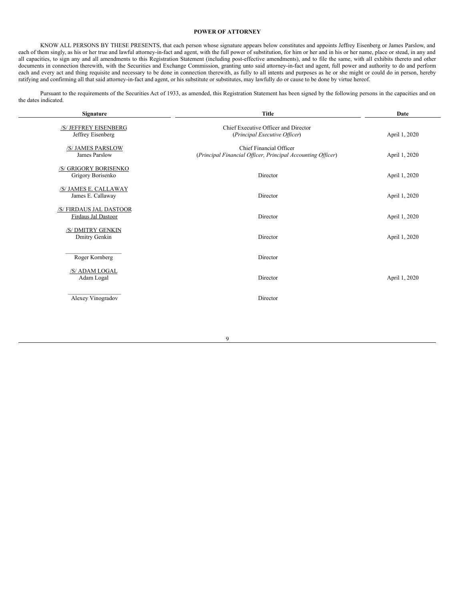#### **POWER OF ATTORNEY**

KNOW ALL PERSONS BY THESE PRESENTS, that each person whose signature appears below constitutes and appoints Jeffrey Eisenberg or James Parslow, and each of them singly, as his or her true and lawful attorney-in-fact and agent, with the full power of substitution, for him or her and in his or her name, place or stead, in any and all capacities, to sign any and all amendments to this Registration Statement (including post-effective amendments), and to file the same, with all exhibits thereto and other documents in connection therewith, with the Securities and Exchange Commission, granting unto said attorney-in-fact and agent, full power and authority to do and perform each and every act and thing requisite and necessary to be done in connection therewith, as fully to all intents and purposes as he or she might or could do in person, hereby ratifying and confirming all that said attorney-in-fact and agent, or his substitute or substitutes, may lawfully do or cause to be done by virtue hereof.

Pursuant to the requirements of the Securities Act of 1933, as amended, this Registration Statement has been signed by the following persons in the capacities and on the dates indicated.

| <b>Title</b><br>Signature                      |                                                                                        | Date          |  |  |
|------------------------------------------------|----------------------------------------------------------------------------------------|---------------|--|--|
| /S/ JEFFREY EISENBERG<br>Jeffrey Eisenberg     | Chief Executive Officer and Director<br>(Principal Executive Officer)                  | April 1, 2020 |  |  |
| /S/ JAMES PARSLOW<br>James Parslow             | Chief Financial Officer<br>(Principal Financial Officer, Principal Accounting Officer) | April 1, 2020 |  |  |
| /S/ GRIGORY BORISENKO<br>Grigory Borisenko     | Director                                                                               | April 1, 2020 |  |  |
| /S/ JAMES E. CALLAWAY<br>James E. Callaway     | Director                                                                               | April 1, 2020 |  |  |
| /S/ FIRDAUS JAL DASTOOR<br>Firdaus Jal Dastoor | Director                                                                               | April 1, 2020 |  |  |
| /S/ DMITRY GENKIN<br>Dmitry Genkin             | Director                                                                               | April 1, 2020 |  |  |
| Roger Kornberg                                 | Director                                                                               |               |  |  |
| /S/ ADAM LOGAL<br>Adam Logal                   | Director                                                                               | April 1, 2020 |  |  |
| Alexey Vinogradov                              | Director                                                                               |               |  |  |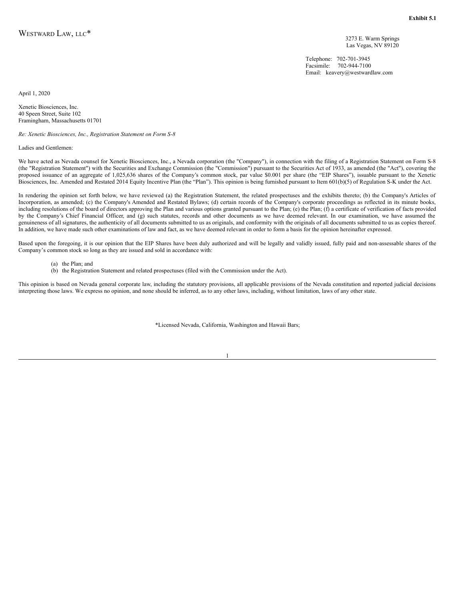3273 E. Warm Springs Las Vegas, NV 89120

Telephone: 702-701-3945 Facsimile: 702-944-7100 Email: keavery@westwardlaw.com

April 1, 2020

Xenetic Biosciences, Inc. 40 Speen Street, Suite 102 Framingham, Massachusetts 01701

*Re: Xenetic Biosciences, Inc., Registration Statement on Form S-8*

Ladies and Gentlemen:

We have acted as Nevada counsel for Xenetic Biosciences, Inc., a Nevada corporation (the "Company"), in connection with the filing of a Registration Statement on Form S-8 (the "Registration Statement") with the Securities and Exchange Commission (the "Commission") pursuant to the Securities Act of 1933, as amended (the "Act"), covering the proposed issuance of an aggregate of 1,025,636 shares of the Company's common stock, par value \$0.001 per share (the "EIP Shares"), issuable pursuant to the Xenetic Biosciences, Inc. Amended and Restated 2014 Equity Incentive Plan (the "Plan"). This opinion is being furnished pursuant to Item 601(b)(5) of Regulation S-K under the Act.

In rendering the opinion set forth below, we have reviewed (a) the Registration Statement, the related prospectuses and the exhibits thereto; (b) the Company's Articles of Incorporation, as amended; (c) the Company's Amended and Restated Bylaws; (d) certain records of the Company's corporate proceedings as reflected in its minute books, including resolutions of the board of directors approving the Plan and various options granted pursuant to the Plan; (e) the Plan; (f) a certificate of verification of facts provided by the Company's Chief Financial Officer, and (g) such statutes, records and other documents as we have deemed relevant. In our examination, we have assumed the genuineness of all signatures, the authenticity of all documents submitted to us as originals, and conformity with the originals of all documents submitted to us as copies thereof. In addition, we have made such other examinations of law and fact, as we have deemed relevant in order to form a basis for the opinion hereinafter expressed.

Based upon the foregoing, it is our opinion that the EIP Shares have been duly authorized and will be legally and validly issued, fully paid and non-assessable shares of the Company's common stock so long as they are issued and sold in accordance with:

(a) the Plan; and

(b) the Registration Statement and related prospectuses (filed with the Commission under the Act).

This opinion is based on Nevada general corporate law, including the statutory provisions, all applicable provisions of the Nevada constitution and reported judicial decisions interpreting those laws. We express no opinion, and none should be inferred, as to any other laws, including, without limitation, laws of any other state.

\*Licensed Nevada, California, Washington and Hawaii Bars;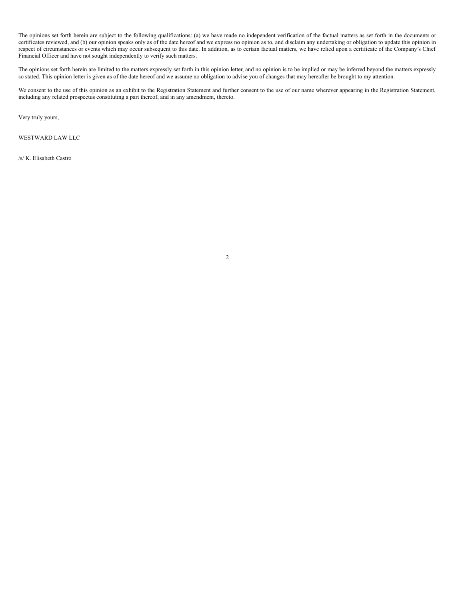The opinions set forth herein are subject to the following qualifications: (a) we have made no independent verification of the factual matters as set forth in the documents or certificates reviewed, and (b) our opinion speaks only as of the date hereof and we express no opinion as to, and disclaim any undertaking or obligation to update this opinion in respect of circumstances or events which may occur subsequent to this date. In addition, as to certain factual matters, we have relied upon a certificate of the Company's Chief Financial Officer and have not sought independently to verify such matters.

The opinions set forth herein are limited to the matters expressly set forth in this opinion letter, and no opinion is to be implied or may be inferred beyond the matters expressly so stated. This opinion letter is given as of the date hereof and we assume no obligation to advise you of changes that may hereafter be brought to my attention.

We consent to the use of this opinion as an exhibit to the Registration Statement and further consent to the use of our name wherever appearing in the Registration Statement, including any related prospectus constituting a part thereof, and in any amendment, thereto.

Very truly yours,

WESTWARD LAW LLC

/s/ K. Elisabeth Castro